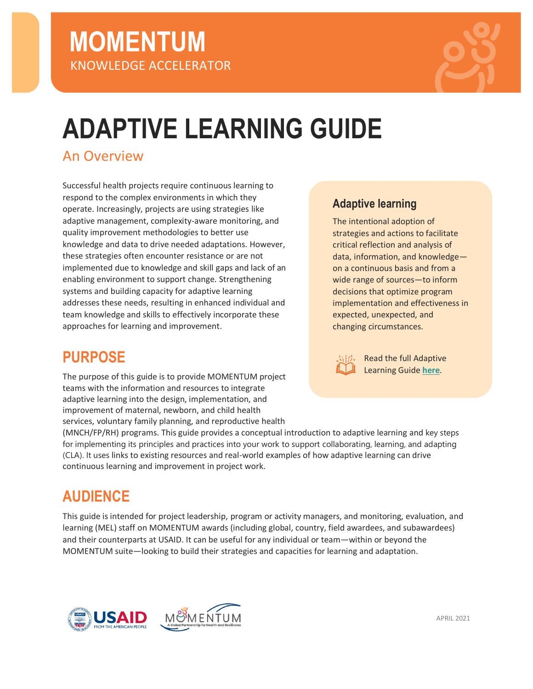

# **ADAPTIVE LEARNING GUIDE**

## An Overview

Successful health projects require continuous learning to respond to the complex environments in which they operate. Increasingly, projects are using strategies like adaptive management, complexity-aware monitoring, and quality improvement methodologies to better use knowledge and data to drive needed adaptations. However, these strategies often encounter resistance or are not implemented due to knowledge and skill gaps and lack of an enabling environment to support change. Strengthening systems and building capacity for adaptive learning addresses these needs, resulting in enhanced individual and team knowledge and skills to effectively incorporate these approaches for learning and improvement.

## **PURPOSE**

The purpose of this guide is to provide MOMENTUM project teams with the information and resources to integrate adaptive learning into the design, implementation, and improvement of maternal, newborn, and child health services, voluntary family planning, and reproductive health

(MNCH/FP/RH) programs. This guide provides a conceptual introduction to adaptive learning and key steps for implementing its principles and practices into your work to support collaborating, learning, and adapting (CLA). It uses links to existing resources and real-world examples of how adaptive learning can drive continuous learning and improvement in project work.

# **AUDIENCE**

This guide is intended for project leadership, program or activity managers, and monitoring, evaluation, and learning (MEL) staff on MOMENTUM awards (including global, country, field awardees, and subawardees) and their counterparts at USAID. It can be useful for any individual or team—within or beyond the MOMENTUM suite—looking to build their strategies and capacities for learning and adaptation.



## **Adaptive learning**

The intentional adoption of strategies and actions to facilitate critical reflection and analysis of data, information, and knowledge on a continuous basis and from a wide range of sources—to inform decisions that optimize program implementation and effectiveness in expected, unexpected, and changing circumstances.



Read the full Adaptive Learning Guide **[here](https://usaidmomentum.org/resource/adaptive-learning-guide-a-pathway-to-stronger-collaboration-learning-and-adapting/)**.